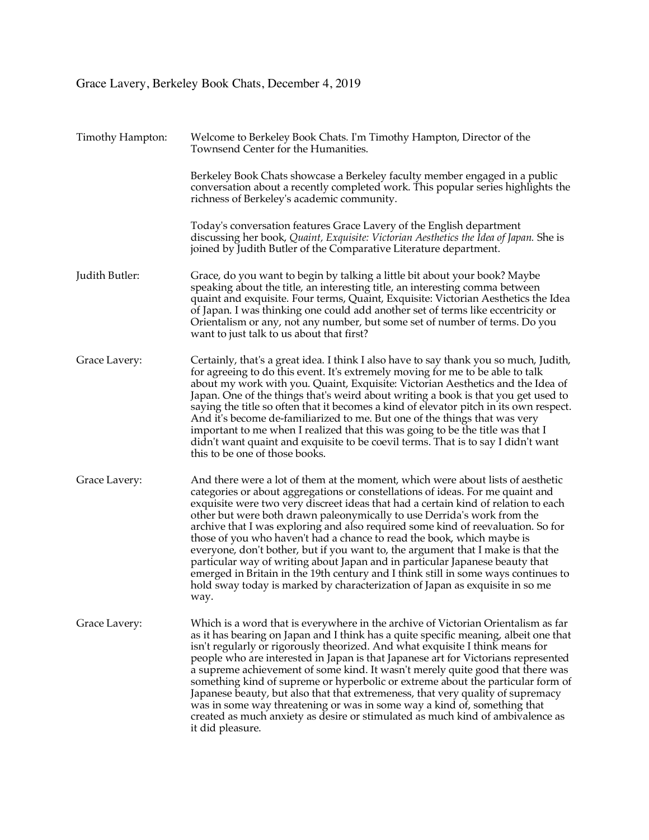## Grace Lavery, Berkeley Book Chats, December 4, 2019

| Timothy Hampton: | Welcome to Berkeley Book Chats. I'm Timothy Hampton, Director of the<br>Townsend Center for the Humanities.                                                                                                                                                                                                                                                                                                                                                                                                                                                                                                                                                                                                                                                                                                                                        |
|------------------|----------------------------------------------------------------------------------------------------------------------------------------------------------------------------------------------------------------------------------------------------------------------------------------------------------------------------------------------------------------------------------------------------------------------------------------------------------------------------------------------------------------------------------------------------------------------------------------------------------------------------------------------------------------------------------------------------------------------------------------------------------------------------------------------------------------------------------------------------|
|                  | Berkeley Book Chats showcase a Berkeley faculty member engaged in a public<br>conversation about a recently completed work. This popular series highlights the<br>richness of Berkeley's academic community.                                                                                                                                                                                                                                                                                                                                                                                                                                                                                                                                                                                                                                       |
|                  | Today's conversation features Grace Lavery of the English department<br>discussing her book, Quaint, Exquisite: Victorian Aesthetics the Idea of Japan. She is<br>joined by Judith Butler of the Comparative Literature department.                                                                                                                                                                                                                                                                                                                                                                                                                                                                                                                                                                                                                |
| Judith Butler:   | Grace, do you want to begin by talking a little bit about your book? Maybe<br>speaking about the title, an interesting title, an interesting comma between<br>quaint and exquisite. Four terms, Quaint, Exquisite: Victorian Aesthetics the Idea<br>of Japan. I was thinking one could add another set of terms like eccentricity or<br>Orientalism or any, not any number, but some set of number of terms. Do you<br>want to just talk to us about that first?                                                                                                                                                                                                                                                                                                                                                                                   |
| Grace Lavery:    | Certainly, that's a great idea. I think I also have to say thank you so much, Judith,<br>for agreeing to do this event. It's extremely moving for me to be able to talk<br>about my work with you. Quaint, Exquisite: Victorian Aesthetics and the Idea of<br>Japan. One of the things that's weird about writing a book is that you get used to<br>saying the title so often that it becomes a kind of elevator pitch in its own respect.<br>And it's become de-familiarized to me. But one of the things that was very<br>important to me when I realized that this was going to be the title was that I<br>didn't want quaint and exquisite to be coevil terms. That is to say I didn't want<br>this to be one of those books.                                                                                                                  |
| Grace Lavery:    | And there were a lot of them at the moment, which were about lists of aesthetic<br>categories or about aggregations or constellations of ideas. For me quaint and<br>exquisite were two very discreet ideas that had a certain kind of relation to each<br>other but were both drawn paleonymically to use Derrida's work from the<br>archive that I was exploring and also required some kind of reevaluation. So for<br>those of you who haven't had a chance to read the book, which maybe is<br>everyone, don't bother, but if you want to, the argument that I make is that the<br>particular way of writing about Japan and in particular Japanese beauty that<br>emerged in Britain in the 19th century and I think still in some ways continues to<br>hold sway today is marked by characterization of Japan as exquisite in so me<br>way. |
| Grace Lavery:    | Which is a word that is everywhere in the archive of Victorian Orientalism as far<br>as it has bearing on Japan and I think has a quite specific meaning, albeit one that<br>isn't regularly or rigorously theorized. And what exquisite I think means for<br>people who are interested in Japan is that Japanese art for Victorians represented<br>a supreme achievement of some kind. It wasn't merely quite good that there was<br>something kind of supreme or hyperbolic or extreme about the particular form of<br>Japanese beauty, but also that that extremeness, that very quality of supremacy<br>was in some way threatening or was in some way a kind of, something that<br>created as much anxiety as desire or stimulated as much kind of ambivalence as<br>it did pleasure.                                                         |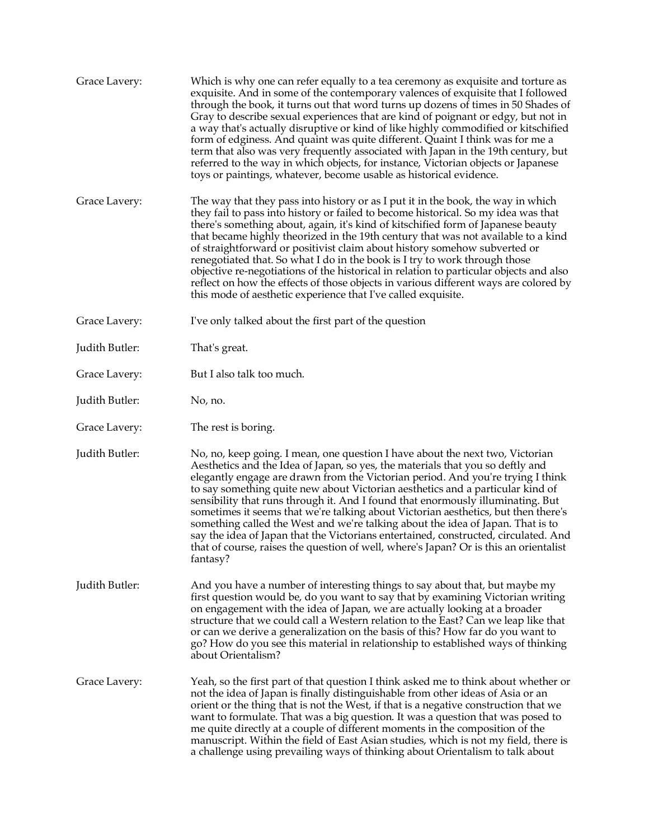| Grace Lavery:  | Which is why one can refer equally to a tea ceremony as exquisite and torture as<br>exquisite. And in some of the contemporary valences of exquisite that I followed<br>through the book, it turns out that word turns up dozens of times in 50 Shades of<br>Gray to describe sexual experiences that are kind of poignant or edgy, but not in<br>a way that's actually disruptive or kind of like highly commodified or kitschified<br>form of edginess. And quaint was quite different. Quaint I think was for me a<br>term that also was very frequently associated with Japan in the 19th century, but<br>referred to the way in which objects, for instance, Victorian objects or Japanese<br>toys or paintings, whatever, become usable as historical evidence.                        |
|----------------|----------------------------------------------------------------------------------------------------------------------------------------------------------------------------------------------------------------------------------------------------------------------------------------------------------------------------------------------------------------------------------------------------------------------------------------------------------------------------------------------------------------------------------------------------------------------------------------------------------------------------------------------------------------------------------------------------------------------------------------------------------------------------------------------|
| Grace Lavery:  | The way that they pass into history or as I put it in the book, the way in which<br>they fail to pass into history or failed to become historical. So my idea was that<br>there's something about, again, it's kind of kitschified form of Japanese beauty<br>that became highly theorized in the 19th century that was not available to a kind<br>of straightforward or positivist claim about history somehow subverted or<br>renegotiated that. So what I do in the book is I try to work through those<br>objective re-negotiations of the historical in relation to particular objects and also<br>reflect on how the effects of those objects in various different ways are colored by<br>this mode of aesthetic experience that I've called exquisite.                                |
| Grace Lavery:  | I've only talked about the first part of the question                                                                                                                                                                                                                                                                                                                                                                                                                                                                                                                                                                                                                                                                                                                                        |
| Judith Butler: | That's great.                                                                                                                                                                                                                                                                                                                                                                                                                                                                                                                                                                                                                                                                                                                                                                                |
| Grace Lavery:  | But I also talk too much.                                                                                                                                                                                                                                                                                                                                                                                                                                                                                                                                                                                                                                                                                                                                                                    |
| Judith Butler: | No, no.                                                                                                                                                                                                                                                                                                                                                                                                                                                                                                                                                                                                                                                                                                                                                                                      |
| Grace Lavery:  | The rest is boring.                                                                                                                                                                                                                                                                                                                                                                                                                                                                                                                                                                                                                                                                                                                                                                          |
| Judith Butler: | No, no, keep going. I mean, one question I have about the next two, Victorian<br>Aesthetics and the Idea of Japan, so yes, the materials that you so deftly and<br>elegantly engage are drawn from the Victorian period. And you're trying I think<br>to say something quite new about Victorian aesthetics and a particular kind of<br>sensibility that runs through it. And I found that enormously illuminating. But<br>sometimes it seems that we're talking about Victorian aesthetics, but then there's<br>something called the West and we're talking about the idea of Japan. That is to<br>say the idea of Japan that the Victorians entertained, constructed, circulated. And<br>that of course, raises the question of well, where's Japan? Or is this an orientalist<br>fantasy? |
| Judith Butler: | And you have a number of interesting things to say about that, but maybe my<br>first question would be, do you want to say that by examining Victorian writing<br>on engagement with the idea of Japan, we are actually looking at a broader<br>structure that we could call a Western relation to the East? Can we leap like that<br>or can we derive a generalization on the basis of this? How far do you want to<br>go? How do you see this material in relationship to established ways of thinking<br>about Orientalism?                                                                                                                                                                                                                                                               |
| Grace Lavery:  | Yeah, so the first part of that question I think asked me to think about whether or<br>not the idea of Japan is finally distinguishable from other ideas of Asia or an<br>orient or the thing that is not the West, if that is a negative construction that we<br>want to formulate. That was a big question. It was a question that was posed to<br>me quite directly at a couple of different moments in the composition of the<br>manuscript. Within the field of East Asian studies, which is not my field, there is<br>a challenge using prevailing ways of thinking about Orientalism to talk about                                                                                                                                                                                    |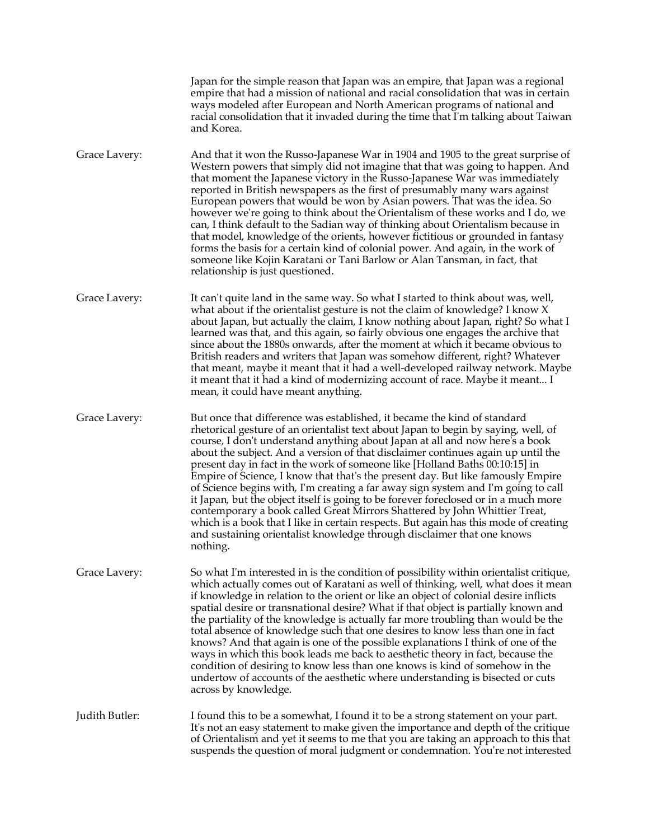|                | Japan for the simple reason that Japan was an empire, that Japan was a regional<br>empire that had a mission of national and racial consolidation that was in certain<br>ways modeled after European and North American programs of national and<br>racial consolidation that it invaded during the time that I'm talking about Taiwan<br>and Korea.                                                                                                                                                                                                                                                                                                                                                                                                                                                                                                                                                                                         |
|----------------|----------------------------------------------------------------------------------------------------------------------------------------------------------------------------------------------------------------------------------------------------------------------------------------------------------------------------------------------------------------------------------------------------------------------------------------------------------------------------------------------------------------------------------------------------------------------------------------------------------------------------------------------------------------------------------------------------------------------------------------------------------------------------------------------------------------------------------------------------------------------------------------------------------------------------------------------|
| Grace Lavery:  | And that it won the Russo-Japanese War in 1904 and 1905 to the great surprise of<br>Western powers that simply did not imagine that that was going to happen. And<br>that moment the Japanese victory in the Russo-Japanese War was immediately<br>reported in British newspapers as the first of presumably many wars against<br>European powers that would be won by Asian powers. That was the idea. So<br>however we're going to think about the Orientalism of these works and I do, we<br>can, I think default to the Sadian way of thinking about Orientalism because in<br>that model, knowledge of the orients, however fictitious or grounded in fantasy<br>forms the basis for a certain kind of colonial power. And again, in the work of<br>someone like Kojin Karatani or Tani Barlow or Alan Tansman, in fact, that<br>relationship is just questioned.                                                                       |
| Grace Lavery:  | It can't quite land in the same way. So what I started to think about was, well,<br>what about if the orientalist gesture is not the claim of knowledge? I know X<br>about Japan, but actually the claim, I know nothing about Japan, right? So what I<br>learned was that, and this again, so fairly obvious one engages the archive that<br>since about the 1880s onwards, after the moment at which it became obvious to<br>British readers and writers that Japan was somehow different, right? Whatever<br>that meant, maybe it meant that it had a well-developed railway network. Maybe<br>it meant that it had a kind of modernizing account of race. Maybe it meant I<br>mean, it could have meant anything.                                                                                                                                                                                                                        |
| Grace Lavery:  | But once that difference was established, it became the kind of standard<br>rhetorical gesture of an orientalist text about Japan to begin by saying, well, of<br>course, I don't understand anything about Japan at all and now here's a book<br>about the subject. And a version of that disclaimer continues again up until the<br>present day in fact in the work of someone like [Holland Baths 00:10:15] in<br>Empire of Science, I know that that's the present day. But like famously Empire<br>of Science begins with, I'm creating a far away sign system and I'm going to call<br>it Japan, but the object itself is going to be forever foreclosed or in a much more<br>contemporary a book called Great Mirrors Shattered by John Whittier Treat,<br>which is a book that I like in certain respects. But again has this mode of creating<br>and sustaining orientalist knowledge through disclaimer that one knows<br>nothing. |
| Grace Lavery:  | So what I'm interested in is the condition of possibility within orientalist critique,<br>which actually comes out of Karatani as well of thinking, well, what does it mean<br>if knowledge in relation to the orient or like an object of colonial desire inflicts<br>spatial desire or transnational desire? What if that object is partially known and<br>the partiality of the knowledge is actually far more troubling than would be the<br>total absence of knowledge such that one desires to know less than one in fact<br>knows? And that again is one of the possible explanations I think of one of the<br>ways in which this book leads me back to aesthetic theory in fact, because the<br>condition of desiring to know less than one knows is kind of somehow in the<br>undertow of accounts of the aesthetic where understanding is bisected or cuts<br>across by knowledge.                                                 |
| Judith Butler: | I found this to be a somewhat, I found it to be a strong statement on your part.<br>It's not an easy statement to make given the importance and depth of the critique<br>of Orientalism and yet it seems to me that you are taking an approach to this that<br>suspends the question of moral judgment or condemnation. You're not interested                                                                                                                                                                                                                                                                                                                                                                                                                                                                                                                                                                                                |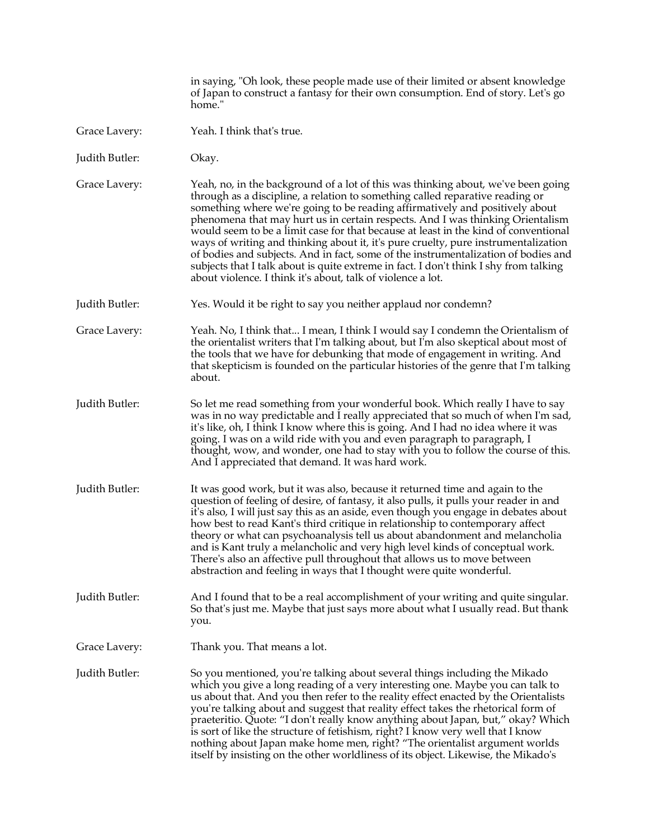in saying, "Oh look, these people made use of their limited or absent knowledge of Japan to construct a fantasy for their own consumption. End of story. Let's go home." Grace Lavery: Yeah. I think that's true.

Judith Butler: Okay.

Grace Lavery: Yeah, no, in the background of a lot of this was thinking about, we've been going through as a discipline, a relation to something called reparative reading or something where we're going to be reading affirmatively and positively about phenomena that may hurt us in certain respects. And I was thinking Orientalism would seem to be a limit case for that because at least in the kind of conventional ways of writing and thinking about it, it's pure cruelty, pure instrumentalization of bodies and subjects. And in fact, some of the instrumentalization of bodies and subjects that I talk about is quite extreme in fact. I don't think I shy from talking about violence. I think it's about, talk of violence a lot.

Judith Butler: Yes. Would it be right to say you neither applaud nor condemn?

Grace Lavery: Yeah. No, I think that... I mean, I think I would say I condemn the Orientalism of the orientalist writers that I'm talking about, but I'm also skeptical about most of the tools that we have for debunking that mode of engagement in writing. And that skepticism is founded on the particular histories of the genre that I'm talking about.

- Judith Butler: So let me read something from your wonderful book. Which really I have to say was in no way predictable and I really appreciated that so much of when I'm sad, it's like, oh, I think I know where this is going. And I had no idea where it was going. I was on a wild ride with you and even paragraph to paragraph, I thought, wow, and wonder, one had to stay with you to follow the course of this. And I appreciated that demand. It was hard work.
- Judith Butler: It was good work, but it was also, because it returned time and again to the question of feeling of desire, of fantasy, it also pulls, it pulls your reader in and it's also, I will just say this as an aside, even though you engage in debates about how best to read Kant's third critique in relationship to contemporary affect theory or what can psychoanalysis tell us about abandonment and melancholia and is Kant truly a melancholic and very high level kinds of conceptual work. There's also an affective pull throughout that allows us to move between abstraction and feeling in ways that I thought were quite wonderful.

Judith Butler: And I found that to be a real accomplishment of your writing and quite singular. So that's just me. Maybe that just says more about what I usually read. But thank you.

Grace Lavery: Thank you. That means a lot.

Judith Butler: So you mentioned, you're talking about several things including the Mikado which you give a long reading of a very interesting one. Maybe you can talk to us about that. And you then refer to the reality effect enacted by the Orientalists you're talking about and suggest that reality effect takes the rhetorical form of praeteritio. Quote: "I don't really know anything about Japan, but," okay? Which is sort of like the structure of fetishism, right? I know very well that I know nothing about Japan make home men, right? "The orientalist argument worlds itself by insisting on the other worldliness of its object. Likewise, the Mikado's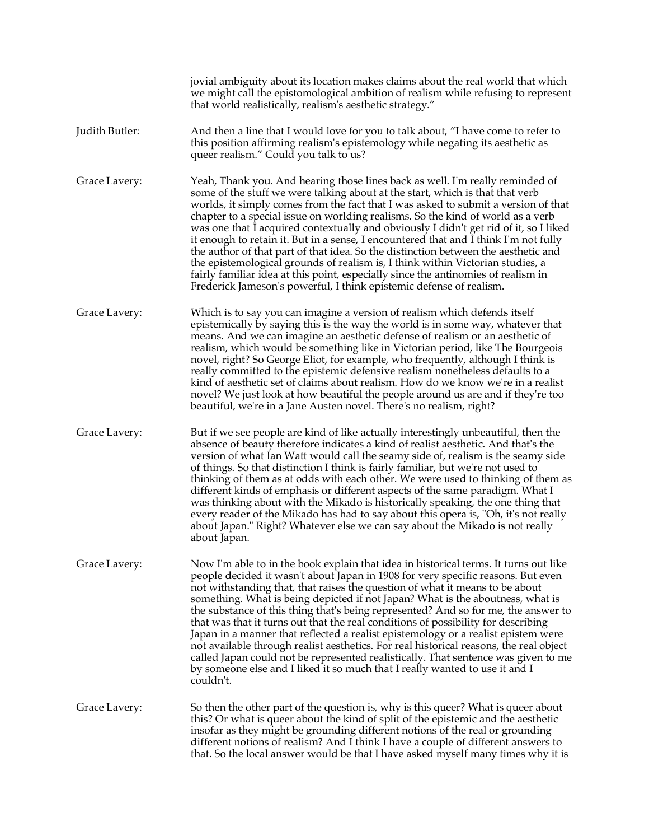|                | jovial ambiguity about its location makes claims about the real world that which<br>we might call the epistomological ambition of realism while refusing to represent<br>that world realistically, realism's aesthetic strategy."                                                                                                                                                                                                                                                                                                                                                                                                                                                                                                                                                                                                                                                      |
|----------------|----------------------------------------------------------------------------------------------------------------------------------------------------------------------------------------------------------------------------------------------------------------------------------------------------------------------------------------------------------------------------------------------------------------------------------------------------------------------------------------------------------------------------------------------------------------------------------------------------------------------------------------------------------------------------------------------------------------------------------------------------------------------------------------------------------------------------------------------------------------------------------------|
| Judith Butler: | And then a line that I would love for you to talk about, "I have come to refer to<br>this position affirming realism's epistemology while negating its aesthetic as<br>queer realism." Could you talk to us?                                                                                                                                                                                                                                                                                                                                                                                                                                                                                                                                                                                                                                                                           |
| Grace Lavery:  | Yeah, Thank you. And hearing those lines back as well. I'm really reminded of<br>some of the stuff we were talking about at the start, which is that that verb<br>worlds, it simply comes from the fact that I was asked to submit a version of that<br>chapter to a special issue on worlding realisms. So the kind of world as a verb<br>was one that I acquired contextually and obviously I didn't get rid of it, so I liked<br>it enough to retain it. But in a sense, I encountered that and I think I'm not fully<br>the author of that part of that idea. So the distinction between the aesthetic and<br>the epistemological grounds of realism is, I think within Victorian studies, a<br>fairly familiar idea at this point, especially since the antinomies of realism in<br>Frederick Jameson's powerful, I think epistemic defense of realism.                           |
| Grace Lavery:  | Which is to say you can imagine a version of realism which defends itself<br>epistemically by saying this is the way the world is in some way, whatever that<br>means. And we can imagine an aesthetic defense of realism or an aesthetic of<br>realism, which would be something like in Victorian period, like The Bourgeois<br>novel, right? So George Eliot, for example, who frequently, although I think is<br>really committed to the epistemic defensive realism nonetheless defaults to a<br>kind of aesthetic set of claims about realism. How do we know we're in a realist<br>novel? We just look at how beautiful the people around us are and if they're too<br>beautiful, we're in a Jane Austen novel. There's no realism, right?                                                                                                                                      |
| Grace Lavery:  | But if we see people are kind of like actually interestingly unbeautiful, then the<br>absence of beauty therefore indicates a kind of realist aesthetic. And that's the<br>version of what Ian Watt would call the seamy side of, realism is the seamy side<br>of things. So that distinction I think is fairly familiar, but we're not used to<br>thinking of them as at odds with each other. We were used to thinking of them as<br>different kinds of emphasis or different aspects of the same paradigm. What I<br>was thinking about with the Mikado is historically speaking, the one thing that<br>every reader of the Mikado has had to say about this opera is, "Oh, it's not really<br>about Japan." Right? Whatever else we can say about the Mikado is not really<br>about Japan.                                                                                         |
| Grace Lavery:  | Now I'm able to in the book explain that idea in historical terms. It turns out like<br>people decided it wasn't about Japan in 1908 for very specific reasons. But even<br>not withstanding that, that raises the question of what it means to be about<br>something. What is being depicted if not Japan? What is the aboutness, what is<br>the substance of this thing that's being represented? And so for me, the answer to<br>that was that it turns out that the real conditions of possibility for describing<br>Japan in a manner that reflected a realist epistemology or a realist epistem were<br>not available through realist aesthetics. For real historical reasons, the real object<br>called Japan could not be represented realistically. That sentence was given to me<br>by someone else and I liked it so much that I really wanted to use it and I<br>couldn't. |
| Grace Lavery:  | So then the other part of the question is, why is this queer? What is queer about<br>this? Or what is queer about the kind of split of the epistemic and the aesthetic<br>insofar as they might be grounding different notions of the real or grounding<br>different notions of realism? And I think I have a couple of different answers to<br>that. So the local answer would be that I have asked myself many times why it is                                                                                                                                                                                                                                                                                                                                                                                                                                                       |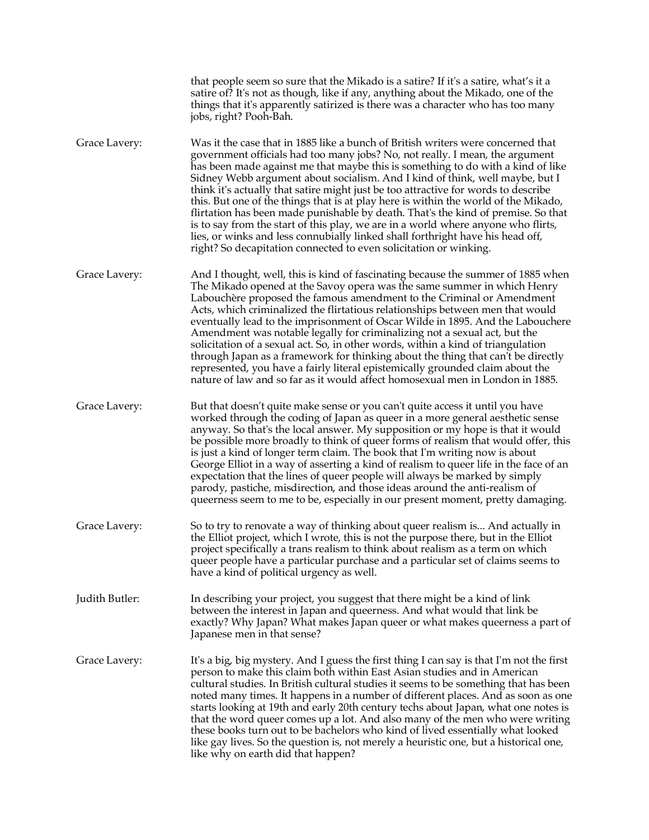|                | that people seem so sure that the Mikado is a satire? If it's a satire, what's it a<br>satire of? It's not as though, like if any, anything about the Mikado, one of the<br>things that it's apparently satirized is there was a character who has too many<br>jobs, right? Pooh-Bah.                                                                                                                                                                                                                                                                                                                                                                                                                                                                                                                                                             |
|----------------|---------------------------------------------------------------------------------------------------------------------------------------------------------------------------------------------------------------------------------------------------------------------------------------------------------------------------------------------------------------------------------------------------------------------------------------------------------------------------------------------------------------------------------------------------------------------------------------------------------------------------------------------------------------------------------------------------------------------------------------------------------------------------------------------------------------------------------------------------|
| Grace Lavery:  | Was it the case that in 1885 like a bunch of British writers were concerned that<br>government officials had too many jobs? No, not really. I mean, the argument<br>has been made against me that maybe this is something to do with a kind of like<br>Sidney Webb argument about socialism. And I kind of think, well maybe, but I<br>think it's actually that satire might just be too attractive for words to describe<br>this. But one of the things that is at play here is within the world of the Mikado,<br>flirtation has been made punishable by death. That's the kind of premise. So that<br>is to say from the start of this play, we are in a world where anyone who flirts,<br>lies, or winks and less connubially linked shall forthright have his head off,<br>right? So decapitation connected to even solicitation or winking. |
| Grace Lavery:  | And I thought, well, this is kind of fascinating because the summer of 1885 when<br>The Mikado opened at the Savoy opera was the same summer in which Henry<br>Labouchère proposed the famous amendment to the Criminal or Amendment<br>Acts, which criminalized the flirtatious relationships between men that would<br>eventually lead to the imprisonment of Oscar Wilde in 1895. And the Labouchere<br>Amendment was notable legally for criminalizing not a sexual act, but the<br>solicitation of a sexual act. So, in other words, within a kind of triangulation<br>through Japan as a framework for thinking about the thing that can't be directly<br>represented, you have a fairly literal epistemically grounded claim about the<br>nature of law and so far as it would affect homosexual men in London in 1885.                    |
| Grace Lavery:  | But that doesn't quite make sense or you can't quite access it until you have<br>worked through the coding of Japan as queer in a more general aesthetic sense<br>anyway. So that's the local answer. My supposition or my hope is that it would<br>be possible more broadly to think of queer forms of realism that would offer, this<br>is just a kind of longer term claim. The book that I'm writing now is about<br>George Elliot in a way of asserting a kind of realism to queer life in the face of an<br>expectation that the lines of queer people will always be marked by simply<br>parody, pastiche, misdirection, and those ideas around the anti-realism of<br>queerness seem to me to be, especially in our present moment, pretty damaging.                                                                                      |
| Grace Lavery:  | So to try to renovate a way of thinking about queer realism is And actually in<br>the Elliot project, which I wrote, this is not the purpose there, but in the Elliot<br>project specifically a trans realism to think about realism as a term on which<br>queer people have a particular purchase and a particular set of claims seems to<br>have a kind of political urgency as well.                                                                                                                                                                                                                                                                                                                                                                                                                                                           |
| Judith Butler: | In describing your project, you suggest that there might be a kind of link<br>between the interest in Japan and queerness. And what would that link be<br>exactly? Why Japan? What makes Japan queer or what makes queerness a part of<br>Japanese men in that sense?                                                                                                                                                                                                                                                                                                                                                                                                                                                                                                                                                                             |
| Grace Lavery:  | It's a big, big mystery. And I guess the first thing I can say is that I'm not the first<br>person to make this claim both within East Asian studies and in American<br>cultural studies. In British cultural studies it seems to be something that has been<br>noted many times. It happens in a number of different places. And as soon as one<br>starts looking at 19th and early 20th century techs about Japan, what one notes is<br>that the word queer comes up a lot. And also many of the men who were writing<br>these books turn out to be bachelors who kind of lived essentially what looked<br>like gay lives. So the question is, not merely a heuristic one, but a historical one,<br>like why on earth did that happen?                                                                                                          |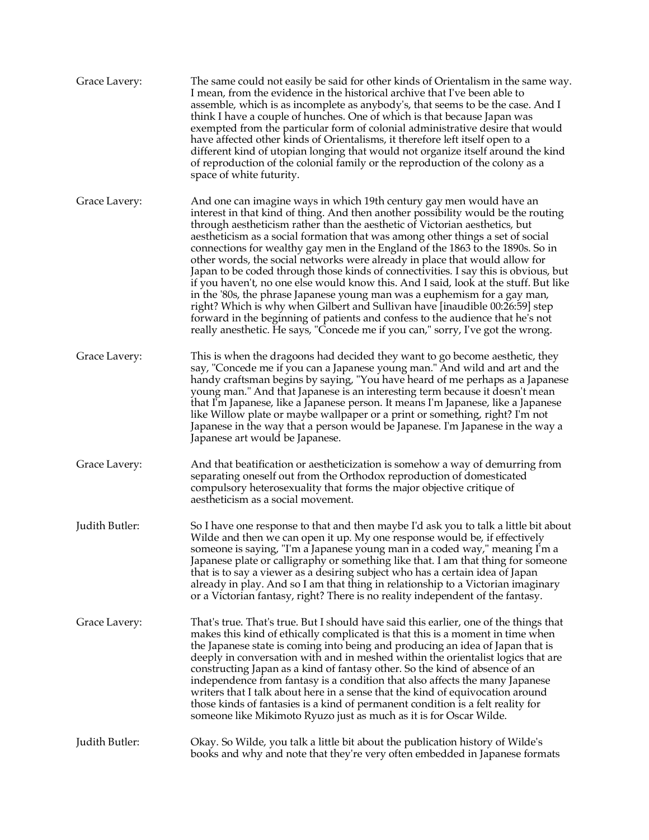| Grace Lavery:  | The same could not easily be said for other kinds of Orientalism in the same way.<br>I mean, from the evidence in the historical archive that I've been able to<br>assemble, which is as incomplete as anybody's, that seems to be the case. And I<br>think I have a couple of hunches. One of which is that because Japan was<br>exempted from the particular form of colonial administrative desire that would<br>have affected other kinds of Orientalisms, it therefore left itself open to a<br>different kind of utopian longing that would not organize itself around the kind<br>of reproduction of the colonial family or the reproduction of the colony as a<br>space of white futurity.                                                                                                                                                                                                                                                                                                           |
|----------------|--------------------------------------------------------------------------------------------------------------------------------------------------------------------------------------------------------------------------------------------------------------------------------------------------------------------------------------------------------------------------------------------------------------------------------------------------------------------------------------------------------------------------------------------------------------------------------------------------------------------------------------------------------------------------------------------------------------------------------------------------------------------------------------------------------------------------------------------------------------------------------------------------------------------------------------------------------------------------------------------------------------|
| Grace Lavery:  | And one can imagine ways in which 19th century gay men would have an<br>interest in that kind of thing. And then another possibility would be the routing<br>through aestheticism rather than the aesthetic of Victorian aesthetics, but<br>aestheticism as a social formation that was among other things a set of social<br>connections for wealthy gay men in the England of the 1863 to the 1890s. So in<br>other words, the social networks were already in place that would allow for<br>Japan to be coded through those kinds of connectivities. I say this is obvious, but<br>if you haven't, no one else would know this. And I said, look at the stuff. But like<br>in the '80s, the phrase Japanese young man was a euphemism for a gay man,<br>right? Which is why when Gilbert and Sullivan have [inaudible 00:26:59] step<br>forward in the beginning of patients and confess to the audience that he's not<br>really anesthetic. He says, "Concede me if you can," sorry, I've got the wrong. |
| Grace Lavery:  | This is when the dragoons had decided they want to go become aesthetic, they<br>say, "Concede me if you can a Japanese young man." And wild and art and the<br>handy craftsman begins by saying, "You have heard of me perhaps as a Japanese<br>young man." And that Japanese is an interesting term because it doesn't mean<br>that I'm Japanese, like a Japanese person. It means I'm Japanese, like a Japanese<br>like Willow plate or maybe wallpaper or a print or something, right? I'm not<br>Japanese in the way that a person would be Japanese. I'm Japanese in the way a<br>Japanese art would be Japanese.                                                                                                                                                                                                                                                                                                                                                                                       |
| Grace Lavery:  | And that beatification or aestheticization is somehow a way of demurring from<br>separating oneself out from the Orthodox reproduction of domesticated<br>compulsory heterosexuality that forms the major objective critique of<br>aestheticism as a social movement.                                                                                                                                                                                                                                                                                                                                                                                                                                                                                                                                                                                                                                                                                                                                        |
| Judith Butler: | So I have one response to that and then maybe I'd ask you to talk a little bit about<br>Wilde and then we can open it up. My one response would be, if effectively<br>someone is saying, "I'm a Japanese young man in a coded way," meaning I'm a<br>Japanese plate or calligraphy or something like that. I am that thing for someone<br>that is to say a viewer as a desiring subject who has a certain idea of Japan<br>already in play. And so I am that thing in relationship to a Victorian imaginary<br>or a Victorian fantasy, right? There is no reality independent of the fantasy.                                                                                                                                                                                                                                                                                                                                                                                                                |
| Grace Lavery:  | That's true. That's true. But I should have said this earlier, one of the things that<br>makes this kind of ethically complicated is that this is a moment in time when<br>the Japanese state is coming into being and producing an idea of Japan that is<br>deeply in conversation with and in meshed within the orientalist logics that are<br>constructing Japan as a kind of fantasy other. So the kind of absence of an<br>independence from fantasy is a condition that also affects the many Japanese<br>writers that I talk about here in a sense that the kind of equivocation around<br>those kinds of fantasies is a kind of permanent condition is a felt reality for<br>someone like Mikimoto Ryuzo just as much as it is for Oscar Wilde.                                                                                                                                                                                                                                                      |
| Judith Butler: | Okay. So Wilde, you talk a little bit about the publication history of Wilde's<br>books and why and note that they're very often embedded in Japanese formats                                                                                                                                                                                                                                                                                                                                                                                                                                                                                                                                                                                                                                                                                                                                                                                                                                                |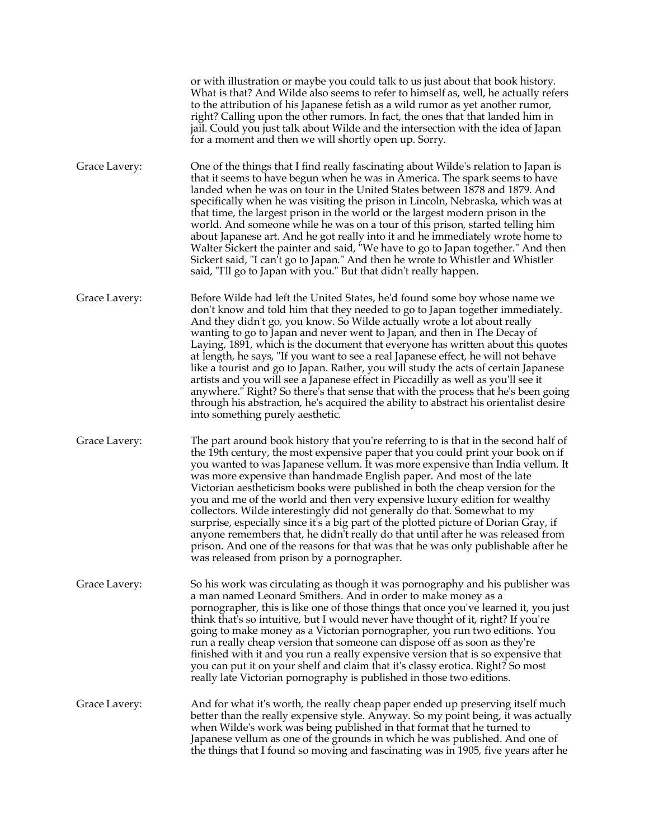|               | or with illustration or maybe you could talk to us just about that book history.<br>What is that? And Wilde also seems to refer to himself as, well, he actually refers<br>to the attribution of his Japanese fetish as a wild rumor as yet another rumor,<br>right? Calling upon the other rumors. In fact, the ones that that landed him in<br>jail. Could you just talk about Wilde and the intersection with the idea of Japan<br>for a moment and then we will shortly open up. Sorry.                                                                                                                                                                                                                                                                                                                                                                                                  |
|---------------|----------------------------------------------------------------------------------------------------------------------------------------------------------------------------------------------------------------------------------------------------------------------------------------------------------------------------------------------------------------------------------------------------------------------------------------------------------------------------------------------------------------------------------------------------------------------------------------------------------------------------------------------------------------------------------------------------------------------------------------------------------------------------------------------------------------------------------------------------------------------------------------------|
| Grace Lavery: | One of the things that I find really fascinating about Wilde's relation to Japan is<br>that it seems to have begun when he was in America. The spark seems to have<br>landed when he was on tour in the United States between 1878 and 1879. And<br>specifically when he was visiting the prison in Lincoln, Nebraska, which was at<br>that time, the largest prison in the world or the largest modern prison in the<br>world. And someone while he was on a tour of this prison, started telling him<br>about Japanese art. And he got really into it and he immediately wrote home to<br>Walter Sickert the painter and said, "We have to go to Japan together." And then<br>Sickert said, "I can't go to Japan." And then he wrote to Whistler and Whistler<br>said, "I'll go to Japan with you." But that didn't really happen.                                                         |
| Grace Lavery: | Before Wilde had left the United States, he'd found some boy whose name we<br>don't know and told him that they needed to go to Japan together immediately.<br>And they didn't go, you know. So Wilde actually wrote a lot about really<br>wanting to go to Japan and never went to Japan, and then in The Decay of<br>Laying, 1891, which is the document that everyone has written about this quotes<br>at length, he says, "If you want to see a real Japanese effect, he will not behave<br>like a tourist and go to Japan. Rather, you will study the acts of certain Japanese<br>artists and you will see a Japanese effect in Piccadilly as well as you'll see it<br>anywhere." Right? So there's that sense that with the process that he's been going<br>through his abstraction, he's acquired the ability to abstract his orientalist desire<br>into something purely aesthetic.  |
| Grace Lavery: | The part around book history that you're referring to is that in the second half of<br>the 19th century, the most expensive paper that you could print your book on if<br>you wanted to was Japanese vellum. It was more expensive than India vellum. It<br>was more expensive than handmade English paper. And most of the late<br>Victorian aestheticism books were published in both the cheap version for the<br>you and me of the world and then very expensive luxury edition for wealthy<br>collectors. Wilde interestingly did not generally do that. Somewhat to my<br>surprise, especially since it's a big part of the plotted picture of Dorian Gray, if<br>anyone remembers that, he didn't really do that until after he was released from<br>prison. And one of the reasons for that was that he was only publishable after he<br>was released from prison by a pornographer. |
| Grace Lavery: | So his work was circulating as though it was pornography and his publisher was<br>a man named Leonard Smithers. And in order to make money as a<br>pornographer, this is like one of those things that once you've learned it, you just<br>think that's so intuitive, but I would never have thought of it, right? If you're<br>going to make money as a Victorian pornographer, you run two editions. You<br>run a really cheap version that someone can dispose off as soon as they're<br>finished with it and you run a really expensive version that is so expensive that<br>you can put it on your shelf and claim that it's classy erotica. Right? So most<br>really late Victorian pornography is published in those two editions.                                                                                                                                                    |
| Grace Lavery: | And for what it's worth, the really cheap paper ended up preserving itself much<br>better than the really expensive style. Anyway. So my point being, it was actually<br>when Wilde's work was being published in that format that he turned to<br>Japanese vellum as one of the grounds in which he was published. And one of<br>the things that I found so moving and fascinating was in 1905, five years after he                                                                                                                                                                                                                                                                                                                                                                                                                                                                         |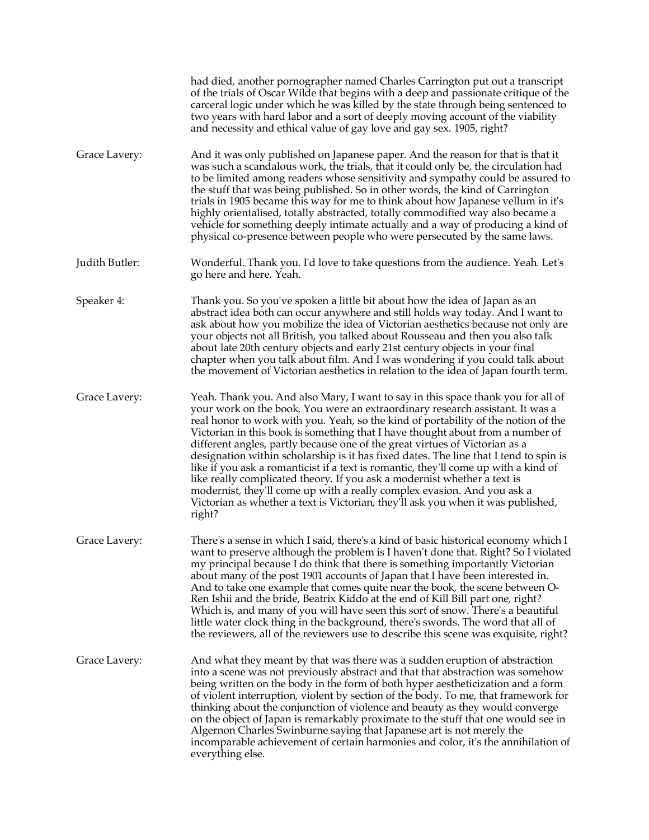|                | had died, another pornographer named Charles Carrington put out a transcript<br>of the trials of Oscar Wilde that begins with a deep and passionate critique of the<br>carceral logic under which he was killed by the state through being sentenced to<br>two years with hard labor and a sort of deeply moving account of the viability<br>and necessity and ethical value of gay love and gay sex. 1905, right?                                                                                                                                                                                                                                                                                                                                                                                                                                            |
|----------------|---------------------------------------------------------------------------------------------------------------------------------------------------------------------------------------------------------------------------------------------------------------------------------------------------------------------------------------------------------------------------------------------------------------------------------------------------------------------------------------------------------------------------------------------------------------------------------------------------------------------------------------------------------------------------------------------------------------------------------------------------------------------------------------------------------------------------------------------------------------|
| Grace Lavery:  | And it was only published on Japanese paper. And the reason for that is that it<br>was such a scandalous work, the trials, that it could only be, the circulation had<br>to be limited among readers whose sensitivity and sympathy could be assured to<br>the stuff that was being published. So in other words, the kind of Carrington<br>trials in 1905 became this way for me to think about how Japanese vellum in it's<br>highly orientalised, totally abstracted, totally commodified way also became a<br>vehicle for something deeply intimate actually and a way of producing a kind of<br>physical co-presence between people who were persecuted by the same laws.                                                                                                                                                                                |
| Judith Butler: | Wonderful. Thank you. I'd love to take questions from the audience. Yeah. Let's<br>go here and here. Yeah.                                                                                                                                                                                                                                                                                                                                                                                                                                                                                                                                                                                                                                                                                                                                                    |
| Speaker 4:     | Thank you. So you've spoken a little bit about how the idea of Japan as an<br>abstract idea both can occur anywhere and still holds way today. And I want to<br>ask about how you mobilize the idea of Victorian aesthetics because not only are<br>your objects not all British, you talked about Rousseau and then you also talk<br>about late 20th century objects and early 21st century objects in your final<br>chapter when you talk about film. And I was wondering if you could talk about<br>the movement of Victorian aesthetics in relation to the idea of Japan fourth term.                                                                                                                                                                                                                                                                     |
| Grace Lavery:  | Yeah. Thank you. And also Mary, I want to say in this space thank you for all of<br>your work on the book. You were an extraordinary research assistant. It was a<br>real honor to work with you. Yeah, so the kind of portability of the notion of the<br>Victorian in this book is something that I have thought about from a number of<br>different angles, partly because one of the great virtues of Victorian as a<br>designation within scholarship is it has fixed dates. The line that I tend to spin is<br>like if you ask a romanticist if a text is romantic, they'll come up with a kind of<br>like really complicated theory. If you ask a modernist whether a text is<br>modernist, they'll come up with a really complex evasion. And you ask a<br>Victorian as whether a text is Victorian, they'll ask you when it was published,<br>right? |
| Grace Lavery:  | There's a sense in which I said, there's a kind of basic historical economy which I<br>want to preserve although the problem is I haven't done that. Right? So I violated<br>my principal because I do think that there is something importantly Victorian<br>about many of the post 1901 accounts of Japan that I have been interested in.<br>And to take one example that comes quite near the book, the scene between O-<br>Ren Ishii and the bride, Beatrix Kiddo at the end of Kill Bill part one, right?<br>Which is, and many of you will have seen this sort of snow. There's a beautiful<br>little water clock thing in the background, there's swords. The word that all of<br>the reviewers, all of the reviewers use to describe this scene was exquisite, right?                                                                                 |
| Grace Lavery:  | And what they meant by that was there was a sudden eruption of abstraction<br>into a scene was not previously abstract and that that abstraction was somehow<br>being written on the body in the form of both hyper aestheticization and a form<br>of violent interruption, violent by section of the body. To me, that framework for<br>thinking about the conjunction of violence and beauty as they would converge<br>on the object of Japan is remarkably proximate to the stuff that one would see in<br>Algernon Charles Swinburne saying that Japanese art is not merely the<br>incomparable achievement of certain harmonies and color, it's the annihilation of<br>everything else.                                                                                                                                                                  |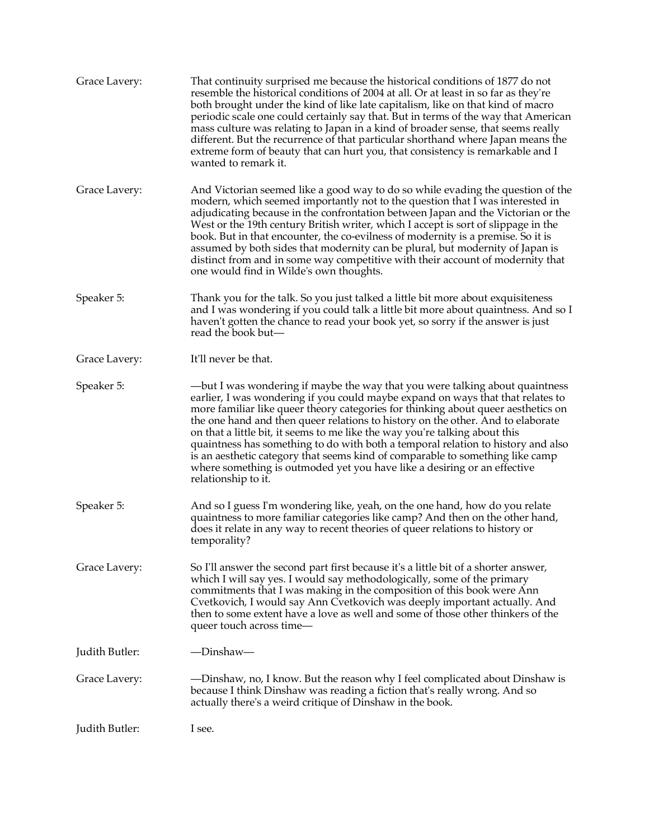| Grace Lavery:  | That continuity surprised me because the historical conditions of 1877 do not<br>resemble the historical conditions of 2004 at all. Or at least in so far as they're<br>both brought under the kind of like late capitalism, like on that kind of macro<br>periodic scale one could certainly say that. But in terms of the way that American<br>mass culture was relating to Japan in a kind of broader sense, that seems really<br>different. But the recurrence of that particular shorthand where Japan means the<br>extreme form of beauty that can hurt you, that consistency is remarkable and I<br>wanted to remark it.                                                                |
|----------------|------------------------------------------------------------------------------------------------------------------------------------------------------------------------------------------------------------------------------------------------------------------------------------------------------------------------------------------------------------------------------------------------------------------------------------------------------------------------------------------------------------------------------------------------------------------------------------------------------------------------------------------------------------------------------------------------|
| Grace Lavery:  | And Victorian seemed like a good way to do so while evading the question of the<br>modern, which seemed importantly not to the question that I was interested in<br>adjudicating because in the confrontation between Japan and the Victorian or the<br>West or the 19th century British writer, which I accept is sort of slippage in the<br>book. But in that encounter, the co-evilness of modernity is a premise. So it is<br>assumed by both sides that modernity can be plural, but modernity of Japan is<br>distinct from and in some way competitive with their account of modernity that<br>one would find in Wilde's own thoughts.                                                   |
| Speaker 5:     | Thank you for the talk. So you just talked a little bit more about exquisiteness<br>and I was wondering if you could talk a little bit more about quaintness. And so I<br>haven't gotten the chance to read your book yet, so sorry if the answer is just<br>read the book but-                                                                                                                                                                                                                                                                                                                                                                                                                |
| Grace Lavery:  | It'll never be that.                                                                                                                                                                                                                                                                                                                                                                                                                                                                                                                                                                                                                                                                           |
| Speaker 5:     | —but I was wondering if maybe the way that you were talking about quaintness<br>earlier, I was wondering if you could maybe expand on ways that that relates to<br>more familiar like queer theory categories for thinking about queer aesthetics on<br>the one hand and then queer relations to history on the other. And to elaborate<br>on that a little bit, it seems to me like the way you're talking about this<br>quaintness has something to do with both a temporal relation to history and also<br>is an aesthetic category that seems kind of comparable to something like camp<br>where something is outmoded yet you have like a desiring or an effective<br>relationship to it. |
| Speaker 5:     | And so I guess I'm wondering like, yeah, on the one hand, how do you relate<br>quaintness to more familiar categories like camp? And then on the other hand,<br>does it relate in any way to recent theories of queer relations to history or<br>temporality?                                                                                                                                                                                                                                                                                                                                                                                                                                  |
| Grace Lavery:  | So I'll answer the second part first because it's a little bit of a shorter answer,<br>which I will say yes. I would say methodologically, some of the primary<br>commitments that I was making in the composition of this book were Ann<br>Cvetkovich, I would say Ann Cvetkovich was deeply important actually. And<br>then to some extent have a love as well and some of those other thinkers of the<br>queer touch across time-                                                                                                                                                                                                                                                           |
| Judith Butler: | —Dinshaw—                                                                                                                                                                                                                                                                                                                                                                                                                                                                                                                                                                                                                                                                                      |
| Grace Lavery:  | — Dinshaw, no, I know. But the reason why I feel complicated about Dinshaw is<br>because I think Dinshaw was reading a fiction that's really wrong. And so<br>actually there's a weird critique of Dinshaw in the book.                                                                                                                                                                                                                                                                                                                                                                                                                                                                        |
| Judith Butler: | I see.                                                                                                                                                                                                                                                                                                                                                                                                                                                                                                                                                                                                                                                                                         |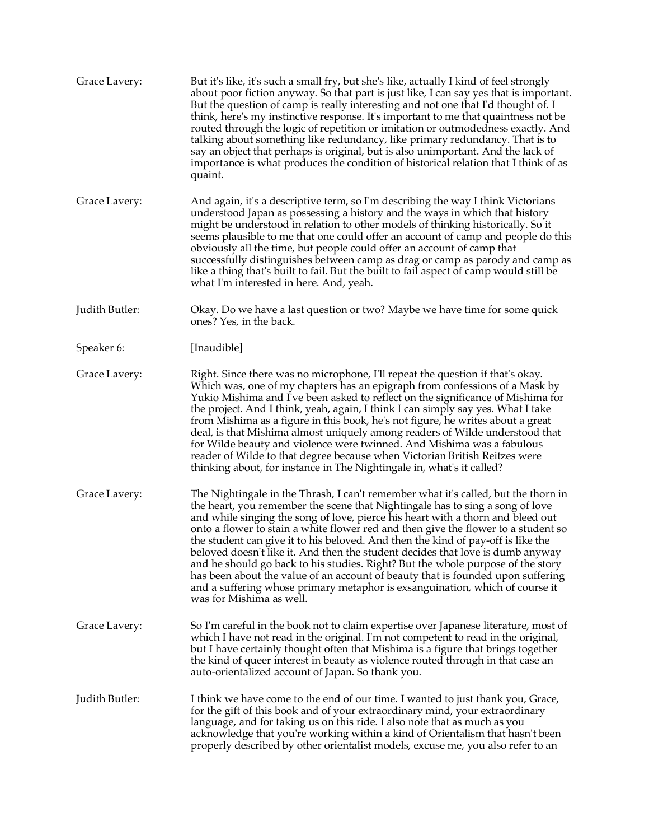| Grace Lavery:  | But it's like, it's such a small fry, but she's like, actually I kind of feel strongly<br>about poor fiction anyway. So that part is just like, I can say yes that is important.<br>But the question of camp is really interesting and not one that I'd thought of. I<br>think, here's my instinctive response. It's important to me that quaintness not be<br>routed through the logic of repetition or imitation or outmodedness exactly. And<br>talking about something like redundancy, like primary redundancy. That is to<br>say an object that perhaps is original, but is also unimportant. And the lack of<br>importance is what produces the condition of historical relation that I think of as<br>quaint.                                                                                |
|----------------|------------------------------------------------------------------------------------------------------------------------------------------------------------------------------------------------------------------------------------------------------------------------------------------------------------------------------------------------------------------------------------------------------------------------------------------------------------------------------------------------------------------------------------------------------------------------------------------------------------------------------------------------------------------------------------------------------------------------------------------------------------------------------------------------------|
| Grace Lavery:  | And again, it's a descriptive term, so I'm describing the way I think Victorians<br>understood Japan as possessing a history and the ways in which that history<br>might be understood in relation to other models of thinking historically. So it<br>seems plausible to me that one could offer an account of camp and people do this<br>obviously all the time, but people could offer an account of camp that<br>successfully distinguishes between camp as drag or camp as parody and camp as<br>like a thing that's built to fail. But the built to fail aspect of camp would still be<br>what I'm interested in here. And, yeah.                                                                                                                                                               |
| Judith Butler: | Okay. Do we have a last question or two? Maybe we have time for some quick<br>ones? Yes, in the back.                                                                                                                                                                                                                                                                                                                                                                                                                                                                                                                                                                                                                                                                                                |
| Speaker 6:     | [Inaudible]                                                                                                                                                                                                                                                                                                                                                                                                                                                                                                                                                                                                                                                                                                                                                                                          |
| Grace Lavery:  | Right. Since there was no microphone, I'll repeat the question if that's okay.<br>Which was, one of my chapters has an epigraph from confessions of a Mask by<br>Yukio Mishima and I've been asked to reflect on the significance of Mishima for<br>the project. And I think, yeah, again, I think I can simply say yes. What I take<br>from Mishima as a figure in this book, he's not figure, he writes about a great<br>deal, is that Mishima almost uniquely among readers of Wilde understood that<br>for Wilde beauty and violence were twinned. And Mishima was a fabulous<br>reader of Wilde to that degree because when Victorian British Reitzes were<br>thinking about, for instance in The Nightingale in, what's it called?                                                             |
| Grace Lavery:  | The Nightingale in the Thrash, I can't remember what it's called, but the thorn in<br>the heart, you remember the scene that Nightingale has to sing a song of love<br>and while singing the song of love, pierce his heart with a thorn and bleed out<br>onto a flower to stain a white flower red and then give the flower to a student so<br>the student can give it to his beloved. And then the kind of pay-off is like the<br>beloved doesn't like it. And then the student decides that love is dumb anyway<br>and he should go back to his studies. Right? But the whole purpose of the story<br>has been about the value of an account of beauty that is founded upon suffering<br>and a suffering whose primary metaphor is exsanguination, which of course it<br>was for Mishima as well. |
| Grace Lavery:  | So I'm careful in the book not to claim expertise over Japanese literature, most of<br>which I have not read in the original. I'm not competent to read in the original,<br>but I have certainly thought often that Mishima is a figure that brings together<br>the kind of queer interest in beauty as violence routed through in that case an<br>auto-orientalized account of Japan. So thank you.                                                                                                                                                                                                                                                                                                                                                                                                 |
| Judith Butler: | I think we have come to the end of our time. I wanted to just thank you, Grace,<br>for the gift of this book and of your extraordinary mind, your extraordinary<br>language, and for taking us on this ride. I also note that as much as you<br>acknowledge that you're working within a kind of Orientalism that hasn't been<br>properly described by other orientalist models, excuse me, you also refer to an                                                                                                                                                                                                                                                                                                                                                                                     |